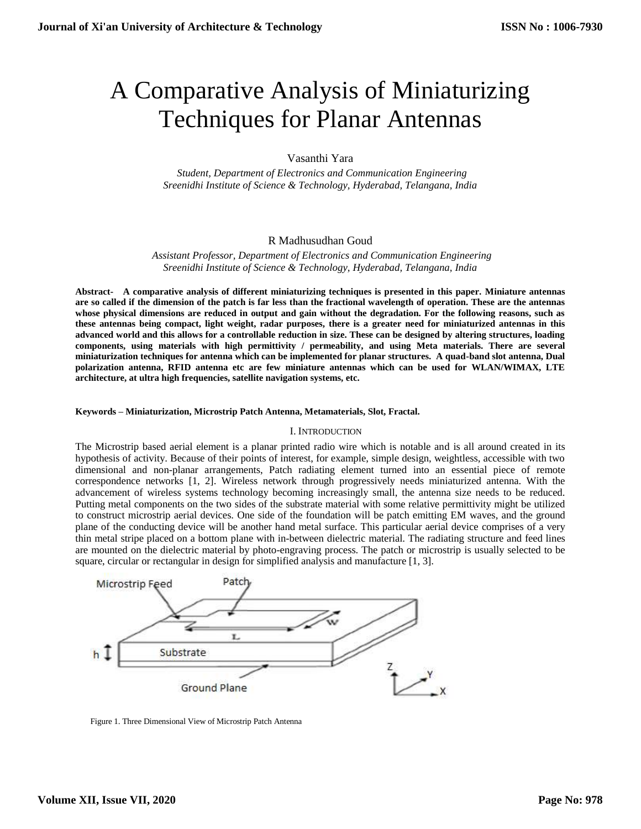# A Comparative Analysis of Miniaturizing Techniques for Planar Antennas

Vasanthi Yara

 *Student, Department of Electronics and Communication Engineering Sreenidhi Institute of Science & Technology, Hyderabad, Telangana, India*

# R Madhusudhan Goud

 *Assistant Professor, Department of Electronics and Communication Engineering Sreenidhi Institute of Science & Technology, Hyderabad, Telangana, India*

**Abstract- A comparative analysis of different miniaturizing techniques is presented in this paper. Miniature antennas are so called if the dimension of the patch is far less than the fractional wavelength of operation. These are the antennas whose physical dimensions are reduced in output and gain without the degradation. For the following reasons, such as these antennas being compact, light weight, radar purposes, there is a greater need for miniaturized antennas in this advanced world and this allows for a controllable reduction in size. These can be designed by altering structures, loading components, using materials with high permittivity / permeability, and using Meta materials. There are several miniaturization techniques for antenna which can be implemented for planar structures. A quad-band slot antenna, Dual polarization antenna, RFID antenna etc are few miniature antennas which can be used for WLAN/WIMAX, LTE architecture, at ultra high frequencies, satellite navigation systems, etc.**

## **Keywords – Miniaturization, Microstrip Patch Antenna, Metamaterials, Slot, Fractal.**

### I. INTRODUCTION

The Microstrip based aerial element is a planar printed radio wire which is notable and is all around created in its hypothesis of activity. Because of their points of interest, for example, simple design, weightless, accessible with two dimensional and non-planar arrangements, Patch radiating element turned into an essential piece of remote correspondence networks [1, 2]. Wireless network through progressively needs miniaturized antenna. With the advancement of wireless systems technology becoming increasingly small, the antenna size needs to be reduced. Putting metal components on the two sides of the substrate material with some relative permittivity might be utilized to construct microstrip aerial devices. One side of the foundation will be patch emitting EM waves, and the ground plane of the conducting device will be another hand metal surface. This particular aerial device comprises of a very thin metal stripe placed on a bottom plane with in-between dielectric material. The radiating structure and feed lines are mounted on the dielectric material by photo-engraving process. The patch or microstrip is usually selected to be square, circular or rectangular in design for simplified analysis and manufacture [1, 3].



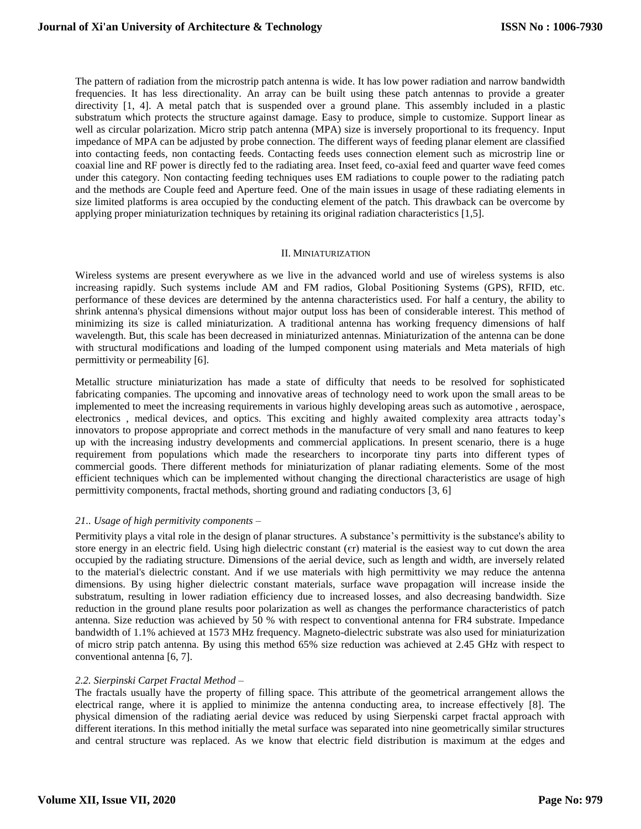The pattern of radiation from the microstrip patch antenna is wide. It has low power radiation and narrow bandwidth frequencies. It has less directionality. An array can be built using these patch antennas to provide a greater directivity [1, 4]. A metal patch that is suspended over a ground plane. This assembly included in a plastic substratum which protects the structure against damage. Easy to produce, simple to customize. Support linear as well as circular polarization. Micro strip patch antenna (MPA) size is inversely proportional to its frequency. Input impedance of MPA can be adjusted by probe connection. The different ways of feeding planar element are classified into contacting feeds, non contacting feeds. Contacting feeds uses connection element such as microstrip line or coaxial line and RF power is directly fed to the radiating area. Inset feed, co-axial feed and quarter wave feed comes under this category. Non contacting feeding techniques uses EM radiations to couple power to the radiating patch and the methods are Couple feed and Aperture feed. One of the main issues in usage of these radiating elements in size limited platforms is area occupied by the conducting element of the patch. This drawback can be overcome by applying proper miniaturization techniques by retaining its original radiation characteristics [1,5].

## II. MINIATURIZATION

Wireless systems are present everywhere as we live in the advanced world and use of wireless systems is also increasing rapidly. Such systems include AM and FM radios, Global Positioning Systems (GPS), RFID, etc. performance of these devices are determined by the antenna characteristics used. For half a century, the ability to shrink antenna's physical dimensions without major output loss has been of considerable interest. This method of minimizing its size is called miniaturization. A traditional antenna has working frequency dimensions of half wavelength. But, this scale has been decreased in miniaturized antennas. Miniaturization of the antenna can be done with structural modifications and loading of the lumped component using materials and Meta materials of high permittivity or permeability [6].

Metallic structure miniaturization has made a state of difficulty that needs to be resolved for sophisticated fabricating companies. The upcoming and innovative areas of technology need to work upon the small areas to be implemented to meet the increasing requirements in various highly developing areas such as automotive , aerospace, electronics , medical devices, and optics. This exciting and highly awaited complexity area attracts today's innovators to propose appropriate and correct methods in the manufacture of very small and nano features to keep up with the increasing industry developments and commercial applications. In present scenario, there is a huge requirement from populations which made the researchers to incorporate tiny parts into different types of commercial goods. There different methods for miniaturization of planar radiating elements. Some of the most efficient techniques which can be implemented without changing the directional characteristics are usage of high permittivity components, fractal methods, shorting ground and radiating conductors [3, 6]

## *21.. Usage of high permitivity components –*

Permitivity plays a vital role in the design of planar structures. A substance's permittivity is the substance's ability to store energy in an electric field. Using high dielectric constant (єr) material is the easiest way to cut down the area occupied by the radiating structure. Dimensions of the aerial device, such as length and width, are inversely related to the material's dielectric constant. And if we use materials with high permittivity we may reduce the antenna dimensions. By using higher dielectric constant materials, surface wave propagation will increase inside the substratum, resulting in lower radiation efficiency due to increased losses, and also decreasing bandwidth. Size reduction in the ground plane results poor polarization as well as changes the performance characteristics of patch antenna. Size reduction was achieved by 50 % with respect to conventional antenna for FR4 substrate. Impedance bandwidth of 1.1% achieved at 1573 MHz frequency. Magneto-dielectric substrate was also used for miniaturization of micro strip patch antenna. By using this method 65% size reduction was achieved at 2.45 GHz with respect to conventional antenna [6, 7].

## *2.2. Sierpinski Carpet Fractal Method –*

The fractals usually have the property of filling space. This attribute of the geometrical arrangement allows the electrical range, where it is applied to minimize the antenna conducting area, to increase effectively [8]. The physical dimension of the radiating aerial device was reduced by using Sierpenski carpet fractal approach with different iterations. In this method initially the metal surface was separated into nine geometrically similar structures and central structure was replaced. As we know that electric field distribution is maximum at the edges and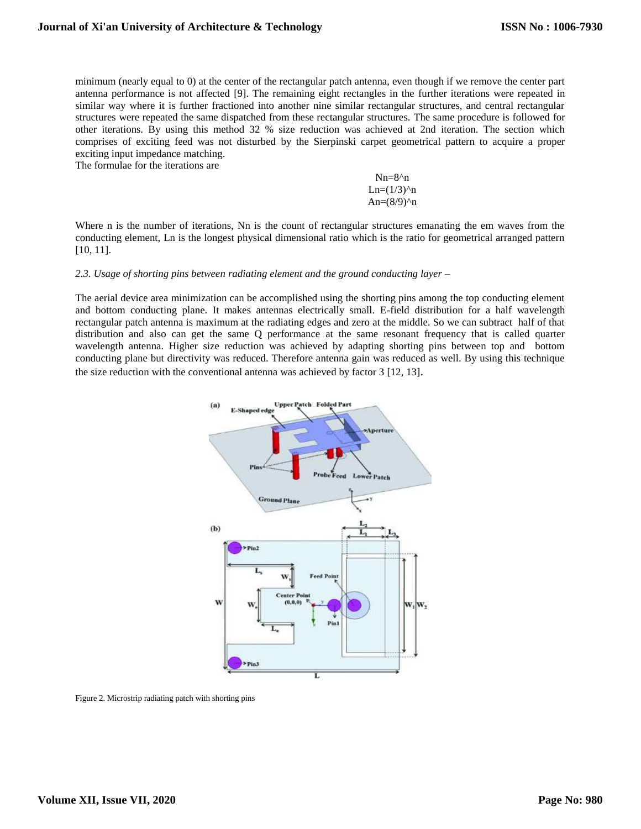minimum (nearly equal to 0) at the center of the rectangular patch antenna, even though if we remove the center part antenna performance is not affected [9]. The remaining eight rectangles in the further iterations were repeated in similar way where it is further fractioned into another nine similar rectangular structures, and central rectangular structures were repeated the same dispatched from these rectangular structures. The same procedure is followed for other iterations. By using this method 32 % size reduction was achieved at 2nd iteration. The section which comprises of exciting feed was not disturbed by the Sierpinski carpet geometrical pattern to acquire a proper exciting input impedance matching.

The formulae for the iterations are

 Nn=8^n  $Ln=(1/3)^n$  $An=(8/9)^n$ 

Where n is the number of iterations, Nn is the count of rectangular structures emanating the em waves from the conducting element, Ln is the longest physical dimensional ratio which is the ratio for geometrical arranged pattern [10, 11].

#### *2.3. Usage of shorting pins between radiating element and the ground conducting layer –*

The aerial device area minimization can be accomplished using the shorting pins among the top conducting element and bottom conducting plane. It makes antennas electrically small. E-field distribution for a half wavelength rectangular patch antenna is maximum at the radiating edges and zero at the middle. So we can subtract half of that distribution and also can get the same Q performance at the same resonant frequency that is called quarter wavelength antenna. Higher size reduction was achieved by adapting shorting pins between top and bottom conducting plane but directivity was reduced. Therefore antenna gain was reduced as well. By using this technique the size reduction with the conventional antenna was achieved by factor 3 [12, 13].



Figure 2. Microstrip radiating patch with shorting pins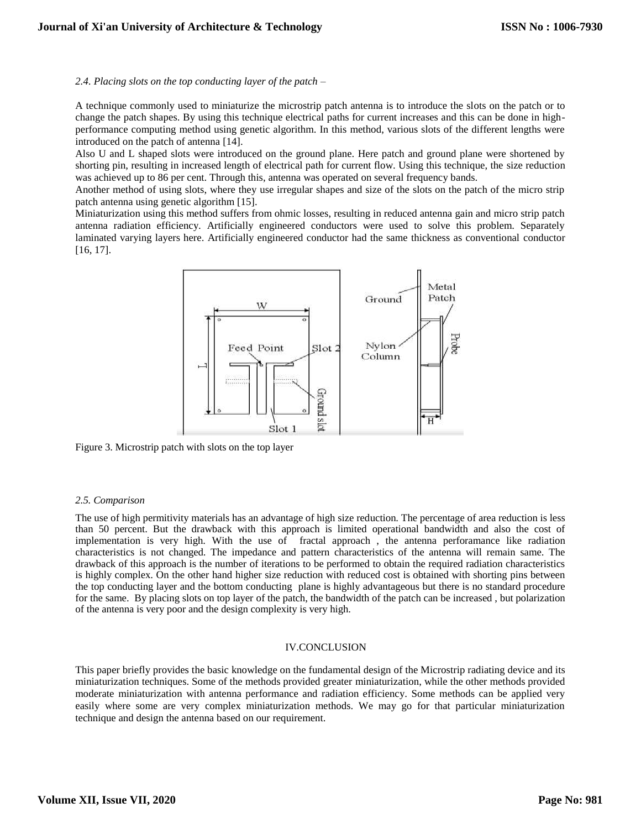*2.4. Placing slots on the top conducting layer of the patch –*

A technique commonly used to miniaturize the microstrip patch antenna is to introduce the slots on the patch or to change the patch shapes. By using this technique electrical paths for current increases and this can be done in highperformance computing method using genetic algorithm. In this method, various slots of the different lengths were introduced on the patch of antenna [14].

Also U and L shaped slots were introduced on the ground plane. Here patch and ground plane were shortened by shorting pin, resulting in increased length of electrical path for current flow. Using this technique, the size reduction was achieved up to 86 per cent. Through this, antenna was operated on several frequency bands.

Another method of using slots, where they use irregular shapes and size of the slots on the patch of the micro strip patch antenna using genetic algorithm [15].

Miniaturization using this method suffers from ohmic losses, resulting in reduced antenna gain and micro strip patch antenna radiation efficiency. Artificially engineered conductors were used to solve this problem. Separately laminated varying layers here. Artificially engineered conductor had the same thickness as conventional conductor [16, 17].



Figure 3. Microstrip patch with slots on the top layer

## *2.5. Comparison*

The use of high permitivity materials has an advantage of high size reduction. The percentage of area reduction is less than 50 percent. But the drawback with this approach is limited operational bandwidth and also the cost of implementation is very high. With the use of fractal approach , the antenna perforamance like radiation characteristics is not changed. The impedance and pattern characteristics of the antenna will remain same. The drawback of this approach is the number of iterations to be performed to obtain the required radiation characteristics is highly complex. On the other hand higher size reduction with reduced cost is obtained with shorting pins between the top conducting layer and the bottom conducting plane is highly advantageous but there is no standard procedure for the same. By placing slots on top layer of the patch, the bandwidth of the patch can be increased , but polarization of the antenna is very poor and the design complexity is very high.

### IV.CONCLUSION

This paper briefly provides the basic knowledge on the fundamental design of the Microstrip radiating device and its miniaturization techniques. Some of the methods provided greater miniaturization, while the other methods provided moderate miniaturization with antenna performance and radiation efficiency. Some methods can be applied very easily where some are very complex miniaturization methods. We may go for that particular miniaturization technique and design the antenna based on our requirement.